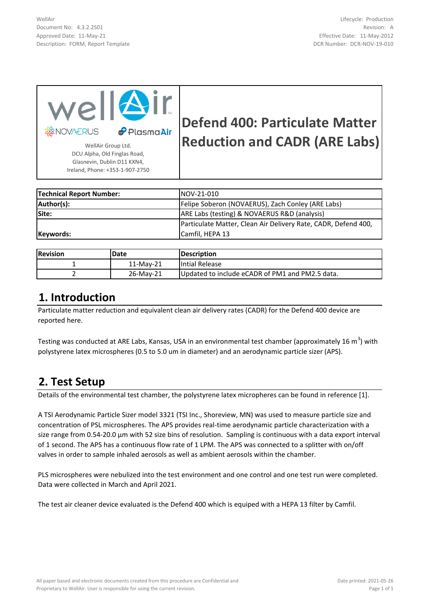WellAir Document No: 4.3.2.2S01 Approved Date: 11-May-21 Description: FORM, Report Template



Glasnevin, Dublin D11 KXN4, Ireland, Phone: +353-1-907-2750

# **Defend 400: Particulate Matter**  RUS **P** Plasma Air **Reduction and CADR (ARE Labs)**

**Technical Report Number:** NOV-21-010 Author(s): Author(s): Felipe Soberon (NOVAERUS), Zach Conley (ARE Labs) **Site:** ARE Labs (testing) & NOVAERUS R&D (analysis) **Keywords:** Particulate Matter, Clean Air Delivery Rate, CADR, Defend 400, Camfil, HEPA 13

| <b>Revision</b> | <b>Date</b> | <b>IDescription</b>                              |
|-----------------|-------------|--------------------------------------------------|
|                 | 11-Mav-21   | Intial Release                                   |
|                 | 26-May-21   | IUpdated to include eCADR of PM1 and PM2.5 data. |

### **1. Introduction**

Particulate matter reduction and equivalent clean air delivery rates (CADR) for the Defend 400 device are reported here.

Testing was conducted at ARE Labs, Kansas, USA in an environmental test chamber (approximately 16 m<sup>3</sup>) with polystyrene latex microspheres (0.5 to 5.0 um in diameter) and an aerodynamic particle sizer (APS).

### **2. Test Setup**

Details of the environmental test chamber, the polystyrene latex micropheres can be found in reference [1].

A TSI Aerodynamic Particle Sizer model 3321 (TSI Inc., Shoreview, MN) was used to measure particle size and concentration of PSL microspheres. The APS provides real-time aerodynamic particle characterization with a size range from 0.54-20.0 µm with 52 size bins of resolution. Sampling is continuous with a data export interval of 1 second. The APS has a continuous flow rate of 1 LPM. The APS was connected to a splitter with on/off valves in order to sample inhaled aerosols as well as ambient aerosols within the chamber.

PLS microspheres were nebulized into the test environment and one control and one test run were completed. Data were collected in March and April 2021.

The test air cleaner device evaluated is the Defend 400 which is equiped with a HEPA 13 filter by Camfil.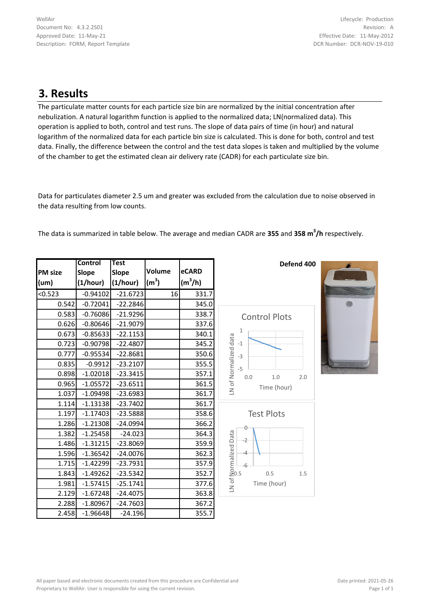### **3. Results**

The particulate matter counts for each particle size bin are normalized by the initial concentration after nebulization. A natural logarithm function is applied to the normalized data; LN(normalized data). This operation is applied to both, control and test runs. The slope of data pairs of time (in hour) and natural logarithm of the normalized data for each particle bin size is calculated. This is done for both, control and test data. Finally, the difference between the control and the test data slopes is taken and multiplied by the volume of the chamber to get the estimated clean air delivery rate (CADR) for each particulate size bin.

Data for particulates diameter 2.5 um and greater was excluded from the calculation due to noise observed in the data resulting from low counts.

The data is summarized in table below. The average and median CADR are **355** and **358 m<sup>3</sup> /h** respectively.

|                | <b>Control</b> | <b>Test</b>  |                   |           |
|----------------|----------------|--------------|-------------------|-----------|
| <b>PM</b> size | <b>Slope</b>   | <b>Slope</b> | Volume            | eCARD     |
| (um)           | (1/hour)       | (1/hour)     | (m <sup>3</sup> ) | $(m^3/h)$ |
| < 0.523        | $-0.94102$     | $-21.6723$   | 16                | 331.7     |
| 0.542          | $-0.72041$     | $-22.2846$   |                   | 345.0     |
| 0.583          | $-0.76086$     | $-21.9296$   |                   | 338.7     |
| 0.626          | $-0.80646$     | $-21.9079$   |                   | 337.6     |
| 0.673          | $-0.85633$     | $-22.1153$   |                   | 340.1     |
| 0.723          | $-0.90798$     | $-22.4807$   |                   | 345.2     |
| 0.777          | $-0.95534$     | $-22.8681$   |                   | 350.6     |
| 0.835          | $-0.9912$      | $-23.2107$   |                   | 355.5     |
| 0.898          | $-1.02018$     | $-23.3415$   |                   | 357.1     |
| 0.965          | $-1.05572$     | $-23.6511$   |                   | 361.5     |
| 1.037          | $-1.09498$     | $-23.6983$   |                   | 361.7     |
| 1.114          | $-1.13138$     | $-23.7402$   |                   | 361.7     |
| 1.197          | $-1.17403$     | $-23.5888$   |                   | 358.6     |
| 1.286          | $-1.21308$     | $-24.0994$   |                   | 366.2     |
| 1.382          | $-1.25458$     | $-24.023$    |                   | 364.3     |
| 1.486          | $-1.31215$     | $-23.8069$   |                   | 359.9     |
| 1.596          | $-1.36542$     | $-24.0076$   |                   | 362.3     |
| 1.715          | $-1.42299$     | $-23.7931$   |                   | 357.9     |
| 1.843          | $-1.49262$     | $-23.5342$   |                   | 352.7     |
| 1.981          | $-1.57415$     | $-25.1741$   |                   | 377.6     |
| 2.129          | $-1.67248$     | $-24.4075$   |                   | 363.8     |
| 2.288          | $-1.80967$     | $-24.7603$   |                   | 367.2     |
| 2.458          | $-1.96648$     | $-24.196$    |                   | 355.7     |



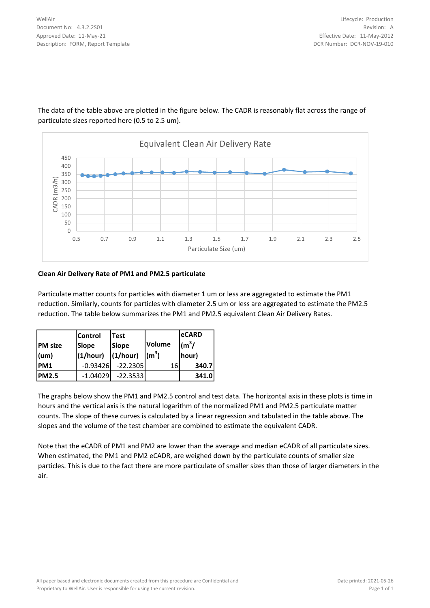

The data of the table above are plotted in the figure below. The CADR is reasonably flat across the range of particulate sizes reported here (0.5 to 2.5 um).

#### **Clean Air Delivery Rate of PM1 and PM2.5 particulate**

Particulate matter counts for particles with diameter 1 um or less are aggregated to estimate the PM1 reduction. Similarly, counts for particles with diameter 2.5 um or less are aggregated to estimate the PM2.5 reduction. The table below summarizes the PM1 and PM2.5 equivalent Clean Air Delivery Rates.

| <b>PM</b> size<br>$ $ (um) | <b>Control</b><br><b>Slope</b><br>(1/hour) | <b>Test</b><br><b>Slope</b><br>(1/hour) | Volume<br>(m <sup>3</sup> ) | leCARD<br>$\text{m}^3$ /<br>hour) |
|----------------------------|--------------------------------------------|-----------------------------------------|-----------------------------|-----------------------------------|
| PM1                        | $-0.93426$                                 | $-22.2305$                              | 16                          | 340.7                             |
| <b>PM2.5</b>               | $-1.04029$                                 | $-22.3533$                              |                             | 341.0                             |

The graphs below show the PM1 and PM2.5 control and test data. The horizontal axis in these plots is time in hours and the vertical axis is the natural logarithm of the normalized PM1 and PM2.5 particulate matter counts. The slope of these curves is calculated by a linear regression and tabulated in the table above. The slopes and the volume of the test chamber are combined to estimate the equivalent CADR.

Note that the eCADR of PM1 and PM2 are lower than the average and median eCADR of all particulate sizes. When estimated, the PM1 and PM2 eCADR, are weighed down by the particulate counts of smaller size particles. This is due to the fact there are more particulate of smaller sizes than those of larger diameters in the air.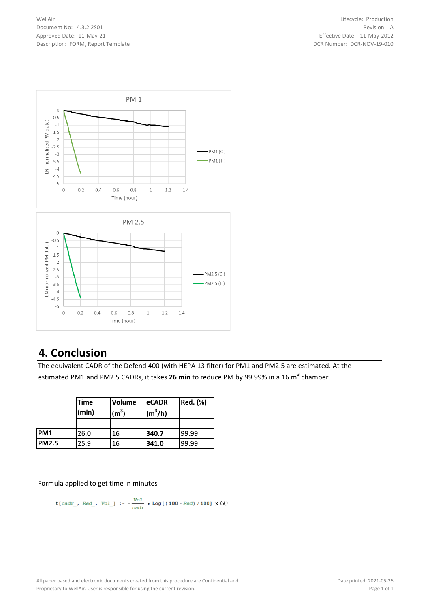WellAir Document No: 4.3.2.2S01 Approved Date: 11-May-21 Description: FORM, Report Template



### **4. Conclusion**

The equivalent CADR of the Defend 400 (with HEPA 13 filter) for PM1 and PM2.5 are estimated. At the estimated PM1 and PM2.5 CADRs, it takes **26 min** to reduce PM by 99.99% in a 16 m<sup>3</sup> chamber.

|              | <b>Time</b><br>(min) | <b>Volume</b><br>$(m^3)$ | <b>eCADR</b><br>$(m^3/h)$ | <b>Red.</b> (%) |
|--------------|----------------------|--------------------------|---------------------------|-----------------|
|              |                      |                          |                           |                 |
| PM1          | 26.0                 | 16                       | 340.7                     | 99.99           |
| <b>PM2.5</b> | 25.9                 | 16                       | 341.0                     | 99.99           |

Formula applied to get time in minutes

t[
$$
cadr_{1}
$$
, Red<sub>1</sub>, Vol<sub>1</sub> :=  $-\frac{Vol}{cadr}$  \* Log[(100 - Red)/100] X 60